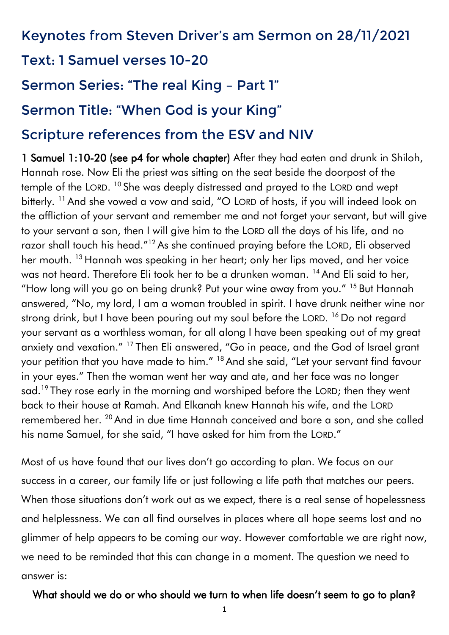## Keynotes from Steven Driver's am Sermon on 28/11/2021

## Text: 1 Samuel verses 10-20

# Sermon Series: "The real King – Part 1"

## Sermon Title: "When God is your King"

## Scripture references from the ESV and NIV

1 Samuel 1:10-20 (see p4 for whole chapter) After they had eaten and drunk in Shiloh, Hannah rose. Now Eli the priest was sitting on the seat beside the doorpost of the temple of the LORD. <sup>10</sup> She was deeply distressed and prayed to the LORD and wept bitterly. <sup>11</sup> And she vowed a vow and said, "O LORD of hosts, if you will indeed look on the affliction of your servant and remember me and not forget your servant, but will give to your servant a son, then I will give him to the LORD all the days of his life, and no razor shall touch his head."<sup>12</sup> As she continued praying before the LORD, Eli observed her mouth. <sup>13</sup> Hannah was speaking in her heart; only her lips moved, and her voice was not heard. Therefore Eli took her to be a drunken woman. <sup>14</sup> And Eli said to her, "How long will you go on being drunk? Put your wine away from you." <sup>15</sup> But Hannah answered, "No, my lord, I am a woman troubled in spirit. I have drunk neither wine nor strong drink, but I have been pouring out my soul before the LORD. <sup>16</sup> Do not regard your servant as a worthless woman, for all along I have been speaking out of my great anxiety and vexation." <sup>17</sup> Then Eli answered, "Go in peace, and the God of Israel grant your petition that you have made to him." <sup>18</sup> And she said, "Let your servant find favour in your eyes." Then the woman went her way and ate, and her face was no longer sad.<sup>19</sup> They rose early in the morning and worshiped before the LORD; then they went back to their house at Ramah. And Elkanah knew Hannah his wife, and the LORD remembered her. <sup>20</sup> And in due time Hannah conceived and bore a son, and she called his name Samuel, for she said, "I have asked for him from the LORD."

Most of us have found that our lives don't go according to plan. We focus on our success in a career, our family life or just following a life path that matches our peers. When those situations don't work out as we expect, there is a real sense of hopelessness and helplessness. We can all find ourselves in places where all hope seems lost and no glimmer of help appears to be coming our way. However comfortable we are right now, we need to be reminded that this can change in a moment. The question we need to answer is:

#### What should we do or who should we turn to when life doesn't seem to go to plan?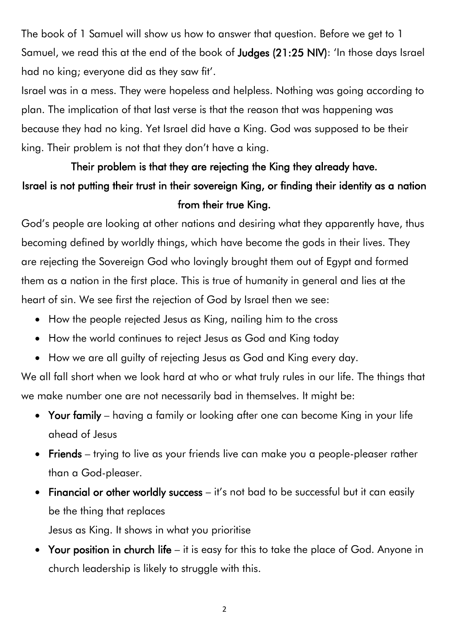The book of 1 Samuel will show us how to answer that question. Before we get to 1 Samuel, we read this at the end of the book of Judges (21:25 NIV): 'In those days Israel had no king; everyone did as they saw fit'.

Israel was in a mess. They were hopeless and helpless. Nothing was going according to plan. The implication of that last verse is that the reason that was happening was because they had no king. Yet Israel did have a King. God was supposed to be their king. Their problem is not that they don't have a king.

# Their problem is that they are rejecting the King they already have. Israel is not putting their trust in their sovereign King, or finding their identity as a nation from their true King.

God's people are looking at other nations and desiring what they apparently have, thus becoming defined by worldly things, which have become the gods in their lives. They are rejecting the Sovereign God who lovingly brought them out of Egypt and formed them as a nation in the first place. This is true of humanity in general and lies at the heart of sin. We see first the rejection of God by Israel then we see:

- How the people rejected Jesus as King, nailing him to the cross
- How the world continues to reject Jesus as God and King today
- How we are all guilty of rejecting Jesus as God and King every day.

We all fall short when we look hard at who or what truly rules in our life. The things that we make number one are not necessarily bad in themselves. It might be:

- Your family having a family or looking after one can become King in your life ahead of Jesus
- Friends trying to live as your friends live can make you a people-pleaser rather than a God-pleaser.
- Financial or other worldly success it's not bad to be successful but it can easily be the thing that replaces

Jesus as King. It shows in what you prioritise

• Your position in church life – it is easy for this to take the place of God. Anyone in church leadership is likely to struggle with this.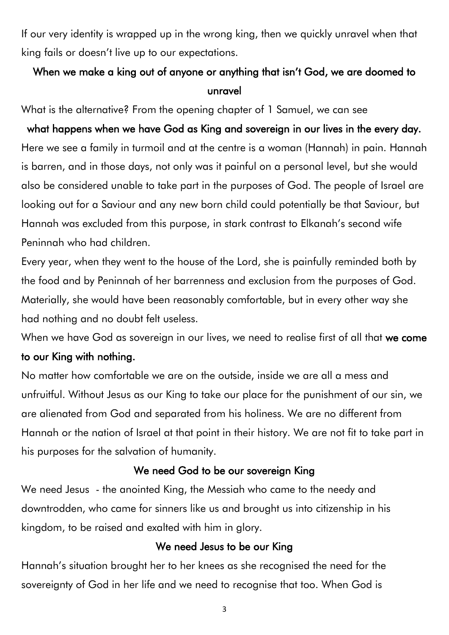If our very identity is wrapped up in the wrong king, then we quickly unravel when that king fails or doesn't live up to our expectations.

## When we make a king out of anyone or anything that isn't God, we are doomed to unravel

What is the alternative? From the opening chapter of 1 Samuel, we can see

what happens when we have God as King and sovereign in our lives in the every day. Here we see a family in turmoil and at the centre is a woman (Hannah) in pain. Hannah is barren, and in those days, not only was it painful on a personal level, but she would also be considered unable to take part in the purposes of God. The people of Israel are looking out for a Saviour and any new born child could potentially be that Saviour, but Hannah was excluded from this purpose, in stark contrast to Elkanah's second wife Peninnah who had children.

Every year, when they went to the house of the Lord, she is painfully reminded both by the food and by Peninnah of her barrenness and exclusion from the purposes of God. Materially, she would have been reasonably comfortable, but in every other way she had nothing and no doubt felt useless.

When we have God as sovereign in our lives, we need to realise first of all that we come

#### to our King with nothing.

No matter how comfortable we are on the outside, inside we are all a mess and unfruitful. Without Jesus as our King to take our place for the punishment of our sin, we are alienated from God and separated from his holiness. We are no different from Hannah or the nation of Israel at that point in their history. We are not fit to take part in his purposes for the salvation of humanity.

## We need God to be our sovereign King

We need Jesus - the anointed King, the Messiah who came to the needy and downtrodden, who came for sinners like us and brought us into citizenship in his kingdom, to be raised and exalted with him in glory.

## We need Jesus to be our King

Hannah's situation brought her to her knees as she recognised the need for the sovereignty of God in her life and we need to recognise that too. When God is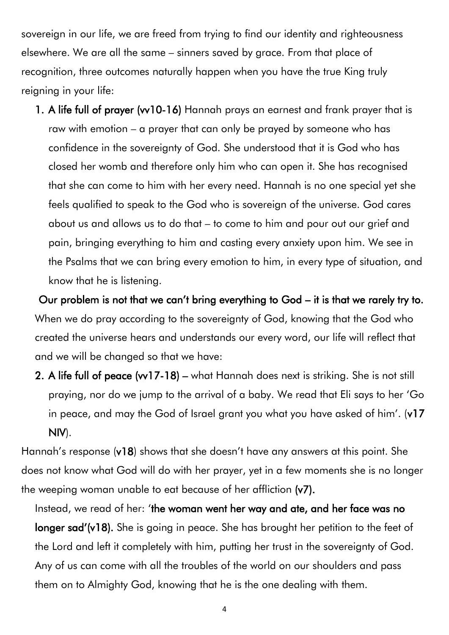sovereign in our life, we are freed from trying to find our identity and righteousness elsewhere. We are all the same – sinners saved by grace. From that place of recognition, three outcomes naturally happen when you have the true King truly reigning in your life:

1. A life full of prayer (vv10-16) Hannah prays an earnest and frank prayer that is raw with emotion – a prayer that can only be prayed by someone who has confidence in the sovereignty of God. She understood that it is God who has closed her womb and therefore only him who can open it. She has recognised that she can come to him with her every need. Hannah is no one special yet she feels qualified to speak to the God who is sovereign of the universe. God cares about us and allows us to do that – to come to him and pour out our grief and pain, bringing everything to him and casting every anxiety upon him. We see in the Psalms that we can bring every emotion to him, in every type of situation, and know that he is listening.

Our problem is not that we can't bring everything to God – it is that we rarely try to. When we do pray according to the sovereignty of God, knowing that the God who created the universe hears and understands our every word, our life will reflect that and we will be changed so that we have:

2. A life full of peace (w17-18) – what Hannah does next is striking. She is not still praying, nor do we jump to the arrival of a baby. We read that Eli says to her 'Go in peace, and may the God of Israel grant you what you have asked of him'. (v17 NIV).

Hannah's response (v18) shows that she doesn't have any answers at this point. She does not know what God will do with her prayer, yet in a few moments she is no longer the weeping woman unable to eat because of her affliction (v7).

Instead, we read of her: 'the woman went her way and ate, and her face was no longer sad'(v18). She is going in peace. She has brought her petition to the feet of the Lord and left it completely with him, putting her trust in the sovereignty of God. Any of us can come with all the troubles of the world on our shoulders and pass them on to Almighty God, knowing that he is the one dealing with them.

4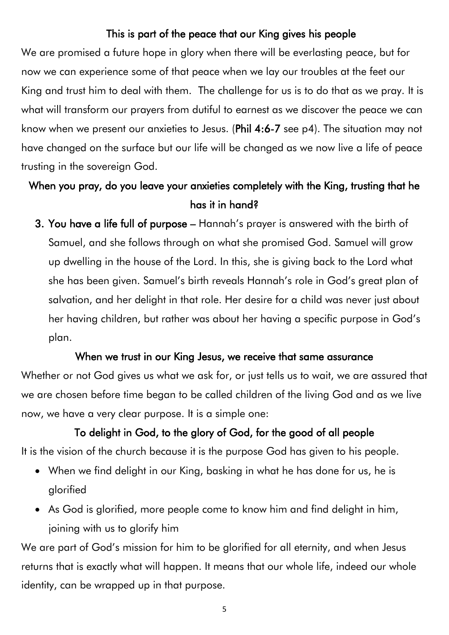#### This is part of the peace that our King gives his people

We are promised a future hope in glory when there will be everlasting peace, but for now we can experience some of that peace when we lay our troubles at the feet our King and trust him to deal with them. The challenge for us is to do that as we pray. It is what will transform our prayers from dutiful to earnest as we discover the peace we can know when we present our anxieties to Jesus. (Phil 4:6-7 see p4). The situation may not have changed on the surface but our life will be changed as we now live a life of peace trusting in the sovereign God.

## When you pray, do you leave your anxieties completely with the King, trusting that he has it in hand?

3. You have a life full of purpose – Hannah's prayer is answered with the birth of Samuel, and she follows through on what she promised God. Samuel will grow up dwelling in the house of the Lord. In this, she is giving back to the Lord what she has been given. Samuel's birth reveals Hannah's role in God's great plan of salvation, and her delight in that role. Her desire for a child was never just about her having children, but rather was about her having a specific purpose in God's plan.

#### When we trust in our King Jesus, we receive that same assurance

Whether or not God gives us what we ask for, or just tells us to wait, we are assured that we are chosen before time began to be called children of the living God and as we live now, we have a very clear purpose. It is a simple one:

#### To delight in God, to the glory of God, for the good of all people

It is the vision of the church because it is the purpose God has given to his people.

- When we find delight in our King, basking in what he has done for us, he is glorified
- As God is glorified, more people come to know him and find delight in him, joining with us to glorify him

We are part of God's mission for him to be glorified for all eternity, and when Jesus returns that is exactly what will happen. It means that our whole life, indeed our whole identity, can be wrapped up in that purpose.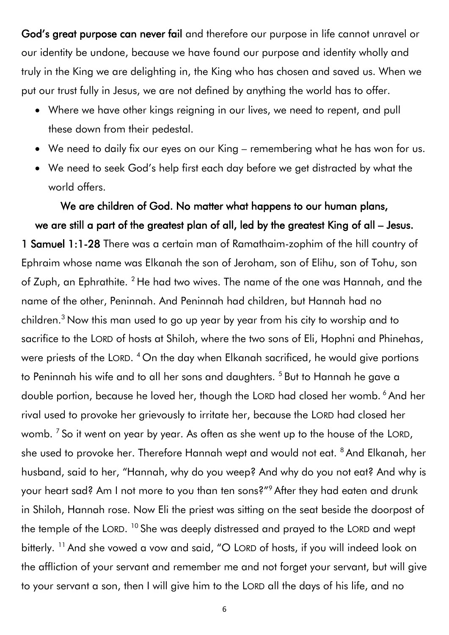God's great purpose can never fail and therefore our purpose in life cannot unravel or our identity be undone, because we have found our purpose and identity wholly and truly in the King we are delighting in, the King who has chosen and saved us. When we put our trust fully in Jesus, we are not defined by anything the world has to offer.

- Where we have other kings reigning in our lives, we need to repent, and pull these down from their pedestal.
- We need to daily fix our eyes on our King remembering what he has won for us.
- We need to seek God's help first each day before we get distracted by what the world offers.

We are children of God. No matter what happens to our human plans, we are still a part of the greatest plan of all, led by the greatest King of all – Jesus. 1 Samuel 1:1-28 There was a certain man of Ramathaim-zophim of the hill country of Ephraim whose name was Elkanah the son of Jeroham, son of Elihu, son of Tohu, son of Zuph, an Ephrathite. <sup>2</sup> He had two wives. The name of the one was Hannah, and the name of the other, Peninnah. And Peninnah had children, but Hannah had no children.<sup>3</sup> Now this man used to go up year by year from his city to worship and to sacrifice to the LORD of hosts at Shiloh, where the two sons of Eli, Hophni and Phinehas, were priests of the LORD. <sup>4</sup> On the day when Elkanah sacrificed, he would give portions to Peninnah his wife and to all her sons and daughters.<sup>5</sup> But to Hannah he gave a double portion, because he loved her, though the LORD had closed her womb. <sup>6</sup> And her rival used to provoke her grievously to irritate her, because the LORD had closed her womb.  $^7$  So it went on year by year. As often as she went up to the house of the LORD, she used to provoke her. Therefore Hannah wept and would not eat. <sup>8</sup> And Elkanah, her husband, said to her, "Hannah, why do you weep? And why do you not eat? And why is your heart sad? Am I not more to you than ten sons?"<sup>9</sup> After they had eaten and drunk in Shiloh, Hannah rose. Now Eli the priest was sitting on the seat beside the doorpost of the temple of the LORD. <sup>10</sup> She was deeply distressed and prayed to the LORD and wept bitterly. <sup>11</sup> And she vowed a vow and said, "O LORD of hosts, if you will indeed look on the affliction of your servant and remember me and not forget your servant, but will give to your servant a son, then I will give him to the LORD all the days of his life, and no

6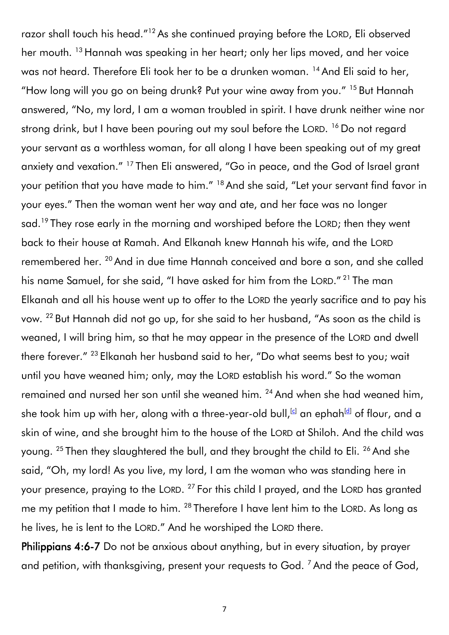razor shall touch his head."<sup>12</sup> As she continued praying before the LORD, Eli observed her mouth. <sup>13</sup> Hannah was speaking in her heart; only her lips moved, and her voice was not heard. Therefore Eli took her to be a drunken woman. <sup>14</sup> And Eli said to her, "How long will you go on being drunk? Put your wine away from you." <sup>15</sup> But Hannah answered, "No, my lord, I am a woman troubled in spirit. I have drunk neither wine nor strong drink, but I have been pouring out my soul before the LORD. <sup>16</sup> Do not regard your servant as a worthless woman, for all along I have been speaking out of my great anxiety and vexation." <sup>17</sup> Then Eli answered, "Go in peace, and the God of Israel grant your petition that you have made to him."<sup>18</sup> And she said, "Let your servant find favor in your eyes." Then the woman went her way and ate, and her face was no longer sad.<sup>19</sup> They rose early in the morning and worshiped before the LORD; then they went back to their house at Ramah. And Elkanah knew Hannah his wife, and the LORD remembered her. <sup>20</sup> And in due time Hannah conceived and bore a son, and she called his name Samuel, for she said, "I have asked for him from the LORD." <sup>21</sup> The man Elkanah and all his house went up to offer to the LORD the yearly sacrifice and to pay his vow. <sup>22</sup> But Hannah did not go up, for she said to her husband, "As soon as the child is weaned, I will bring him, so that he may appear in the presence of the LORD and dwell there forever." <sup>23</sup> Elkanah her husband said to her, "Do what seems best to you; wait until you have weaned him; only, may the LORD establish his word." So the woman remained and nursed her son until she weaned him. <sup>24</sup> And when she had weaned him, she took him up with her, along with a three-year-old bull,<sup>[\[c\]](https://www.biblegateway.com/passage/?search=1%20Samuel%201&version=ESV#fen-ESV-7237c)</sup> an ephah<sup>[\[d\]](https://www.biblegateway.com/passage/?search=1%20Samuel%201&version=ESV#fen-ESV-7237d)</sup> of flour, and a skin of wine, and she brought him to the house of the LORD at Shiloh. And the child was young. <sup>25</sup> Then they slaughtered the bull, and they brought the child to Eli. <sup>26</sup> And she said, "Oh, my lord! As you live, my lord, I am the woman who was standing here in your presence, praying to the LORD.  $^{27}$  For this child I prayed, and the LORD has granted me my petition that I made to him. <sup>28</sup> Therefore I have lent him to the LORD. As long as he lives, he is lent to the LORD." And he worshiped the LORD there.

Philippians 4:6-7 Do not be anxious about anything, but in every situation, by prayer and petition, with thanksgiving, present your requests to God.<sup>7</sup> And the peace of God,